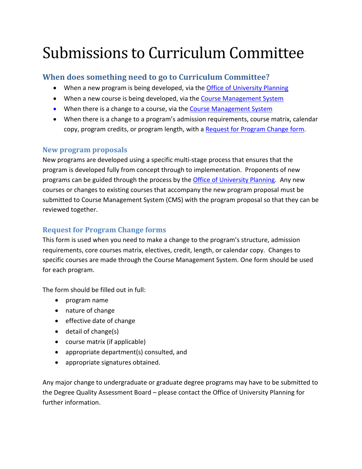# Submissions to Curriculum Committee

## **When does something need to go to Curriculum Committee?**

- When a new program is being developed, via the [Office of University Planning](https://www2.viu.ca/upa/ProgramPlanning/index.asp)
- When a new course is being developed, via the [Course Management System](https://isapp.viu.ca/cms/main.asp)
- When there is a change to a course, via the [Course Management System](https://isapp.viu.ca/cms/main.asp)
- When there is a change to a program's admission requirements, course matrix, calendar copy, program credits, or program length, with [a Request for Program Change form.](http://www2.viu.ca/senate/docs/CreditProgramChange.docx)

### **New program proposals**

New programs are developed using a specific multi-stage process that ensures that the program is developed fully from concept through to implementation. Proponents of new programs can be guided through the process by the [Office of University Planning.](https://www2.viu.ca/upa/ProgramPlanning/index.asp) Any new courses or changes to existing courses that accompany the new program proposal must be submitted to Course Management System (CMS) with the program proposal so that they can be reviewed together.

## **Request for Program Change forms**

This form is used when you need to make a change to the program's structure, admission requirements, core courses matrix, electives, credit, length, or calendar copy. Changes to specific courses are made through the Course Management System. One form should be used for each program.

The form should be filled out in full:

- program name
- nature of change
- effective date of change
- detail of change(s)
- course matrix (if applicable)
- appropriate department(s) consulted, and
- appropriate signatures obtained.

Any major change to undergraduate or graduate degree programs may have to be submitted to the Degree Quality Assessment Board – please contact the Office of University Planning for further information.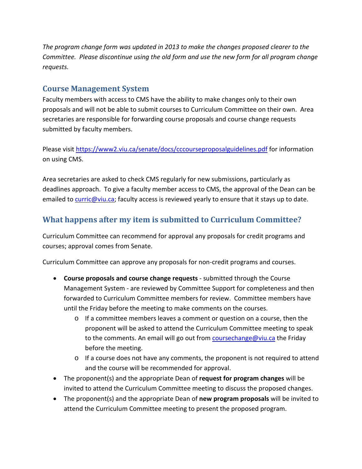*The program change form was updated in 2013 to make the changes proposed clearer to the Committee. Please discontinue using the old form and use the new form for all program change requests.* 

## **Course Management System**

Faculty members with access to CMS have the ability to make changes only to their own proposals and will not be able to submit courses to Curriculum Committee on their own. Area secretaries are responsible for forwarding course proposals and course change requests submitted by faculty members.

Please visit<https://www2.viu.ca/senate/docs/cccourseproposalguidelines.pdf> for information on using CMS.

Area secretaries are asked to check CMS regularly for new submissions, particularly as deadlines approach. To give a faculty member access to CMS, the approval of the Dean can be emailed to [curric@viu.ca;](mailto:curric@viu.ca) faculty access is reviewed yearly to ensure that it stays up to date.

# **What happens after my item is submitted to Curriculum Committee?**

Curriculum Committee can recommend for approval any proposals for credit programs and courses; approval comes from Senate.

Curriculum Committee can approve any proposals for non-credit programs and courses.

- **Course proposals and course change requests**  submitted through the Course Management System - are reviewed by Committee Support for completeness and then forwarded to Curriculum Committee members for review. Committee members have until the Friday before the meeting to make comments on the courses.
	- o If a committee members leaves a comment or question on a course, then the proponent will be asked to attend the Curriculum Committee meeting to speak to the comments. An email will go out from [coursechange@viu.ca](mailto:coursechange@viu.ca) the Friday before the meeting.
	- o If a course does not have any comments, the proponent is not required to attend and the course will be recommended for approval.
- The proponent(s) and the appropriate Dean of **request for program changes** will be invited to attend the Curriculum Committee meeting to discuss the proposed changes.
- The proponent(s) and the appropriate Dean of **new program proposals** will be invited to attend the Curriculum Committee meeting to present the proposed program.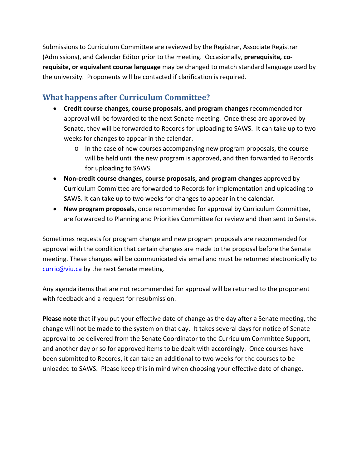Submissions to Curriculum Committee are reviewed by the Registrar, Associate Registrar (Admissions), and Calendar Editor prior to the meeting. Occasionally, **prerequisite, corequisite, or equivalent course language** may be changed to match standard language used by the university. Proponents will be contacted if clarification is required.

# **What happens after Curriculum Committee?**

- **Credit course changes, course proposals, and program changes** recommended for approval will be fowarded to the next Senate meeting. Once these are approved by Senate, they will be forwarded to Records for uploading to SAWS. It can take up to two weeks for changes to appear in the calendar.
	- o In the case of new courses accompanying new program proposals, the course will be held until the new program is approved, and then forwarded to Records for uploading to SAWS.
- **Non-credit course changes, course proposals, and program changes** approved by Curriculum Committee are forwarded to Records for implementation and uploading to SAWS. It can take up to two weeks for changes to appear in the calendar.
- **New program proposals**, once recommended for approval by Curriculum Committee, are forwarded to Planning and Priorities Committee for review and then sent to Senate.

Sometimes requests for program change and new program proposals are recommended for approval with the condition that certain changes are made to the proposal before the Senate meeting. These changes will be communicated via email and must be returned electronically to [curric@viu.ca](mailto:curric@viu.ca) by the next Senate meeting.

Any agenda items that are not recommended for approval will be returned to the proponent with feedback and a request for resubmission.

**Please note** that if you put your effective date of change as the day after a Senate meeting, the change will not be made to the system on that day. It takes several days for notice of Senate approval to be delivered from the Senate Coordinator to the Curriculum Committee Support, and another day or so for approved items to be dealt with accordingly. Once courses have been submitted to Records, it can take an additional to two weeks for the courses to be unloaded to SAWS. Please keep this in mind when choosing your effective date of change.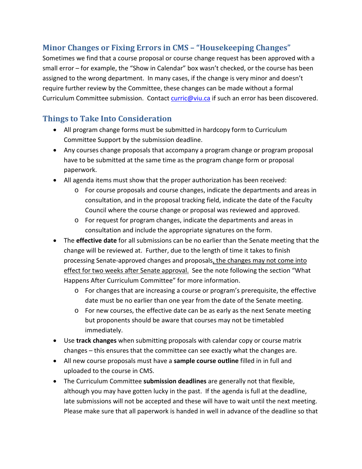# **Minor Changes or Fixing Errors in CMS – "Housekeeping Changes"**

Sometimes we find that a course proposal or course change request has been approved with a small error – for example, the "Show in Calendar" box wasn't checked, or the course has been assigned to the wrong department. In many cases, if the change is very minor and doesn't require further review by the Committee, these changes can be made without a formal Curriculum Committee submission. Contact [curric@viu.ca](mailto:curric@viu.ca) if such an error has been discovered.

# **Things to Take Into Consideration**

- All program change forms must be submitted in hardcopy form to Curriculum Committee Support by the submission deadline.
- Any courses change proposals that accompany a program change or program proposal have to be submitted at the same time as the program change form or proposal paperwork.
- All agenda items must show that the proper authorization has been received:
	- o For course proposals and course changes, indicate the departments and areas in consultation, and in the proposal tracking field, indicate the date of the Faculty Council where the course change or proposal was reviewed and approved.
	- o For request for program changes, indicate the departments and areas in consultation and include the appropriate signatures on the form.
- The **effective date** for all submissions can be no earlier than the Senate meeting that the change will be reviewed at. Further, due to the length of time it takes to finish processing Senate-approved changes and proposals, the changes may not come into effect for two weeks after Senate approval. See the note following the section "What Happens After Curriculum Committee" for more information.
	- $\circ$  For changes that are increasing a course or program's prerequisite, the effective date must be no earlier than one year from the date of the Senate meeting.
	- o For new courses, the effective date can be as early as the next Senate meeting but proponents should be aware that courses may not be timetabled immediately.
- Use **track changes** when submitting proposals with calendar copy or course matrix changes – this ensures that the committee can see exactly what the changes are.
- All new course proposals must have a **sample course outline** filled in in full and uploaded to the course in CMS.
- The Curriculum Committee **submission deadlines** are generally not that flexible, although you may have gotten lucky in the past. If the agenda is full at the deadline, late submissions will not be accepted and these will have to wait until the next meeting. Please make sure that all paperwork is handed in well in advance of the deadline so that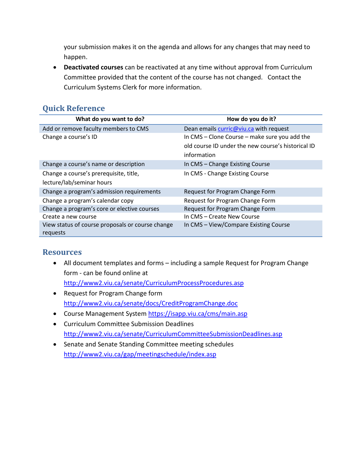your submission makes it on the agenda and allows for any changes that may need to happen.

• **Deactivated courses** can be reactivated at any time without approval from Curriculum Committee provided that the content of the course has not changed. Contact the Curriculum Systems Clerk for more information.

## **Quick Reference**

| What do you want to do?                                      | How do you do it?                                  |
|--------------------------------------------------------------|----------------------------------------------------|
| Add or remove faculty members to CMS                         | Dean emails curric@viu.ca with request             |
| Change a course's ID                                         | In CMS - Clone Course - make sure you add the      |
|                                                              | old course ID under the new course's historical ID |
|                                                              | information                                        |
| Change a course's name or description                        | In CMS - Change Existing Course                    |
| Change a course's prerequisite, title,                       | In CMS - Change Existing Course                    |
| lecture/lab/seminar hours                                    |                                                    |
| Change a program's admission requirements                    | Request for Program Change Form                    |
| Change a program's calendar copy                             | Request for Program Change Form                    |
| Change a program's core or elective courses                  | Request for Program Change Form                    |
| Create a new course                                          | In CMS - Create New Course                         |
| View status of course proposals or course change<br>requests | In CMS - View/Compare Existing Course              |

### **Resources**

- All document templates and forms including a sample Request for Program Change form - can be found online at <http://www2.viu.ca/senate/CurriculumProcessProcedures.asp>
- Request for Program Change form <http://www2.viu.ca/senate/docs/CreditProgramChange.doc>
- Course Management System<https://isapp.viu.ca/cms/main.asp>
- Curriculum Committee Submission Deadlines <http://www2.viu.ca/senate/CurriculumCommitteeSubmissionDeadlines.asp>
- Senate and Senate Standing Committee meeting schedules <http://www2.viu.ca/gap/meetingschedule/index.asp>